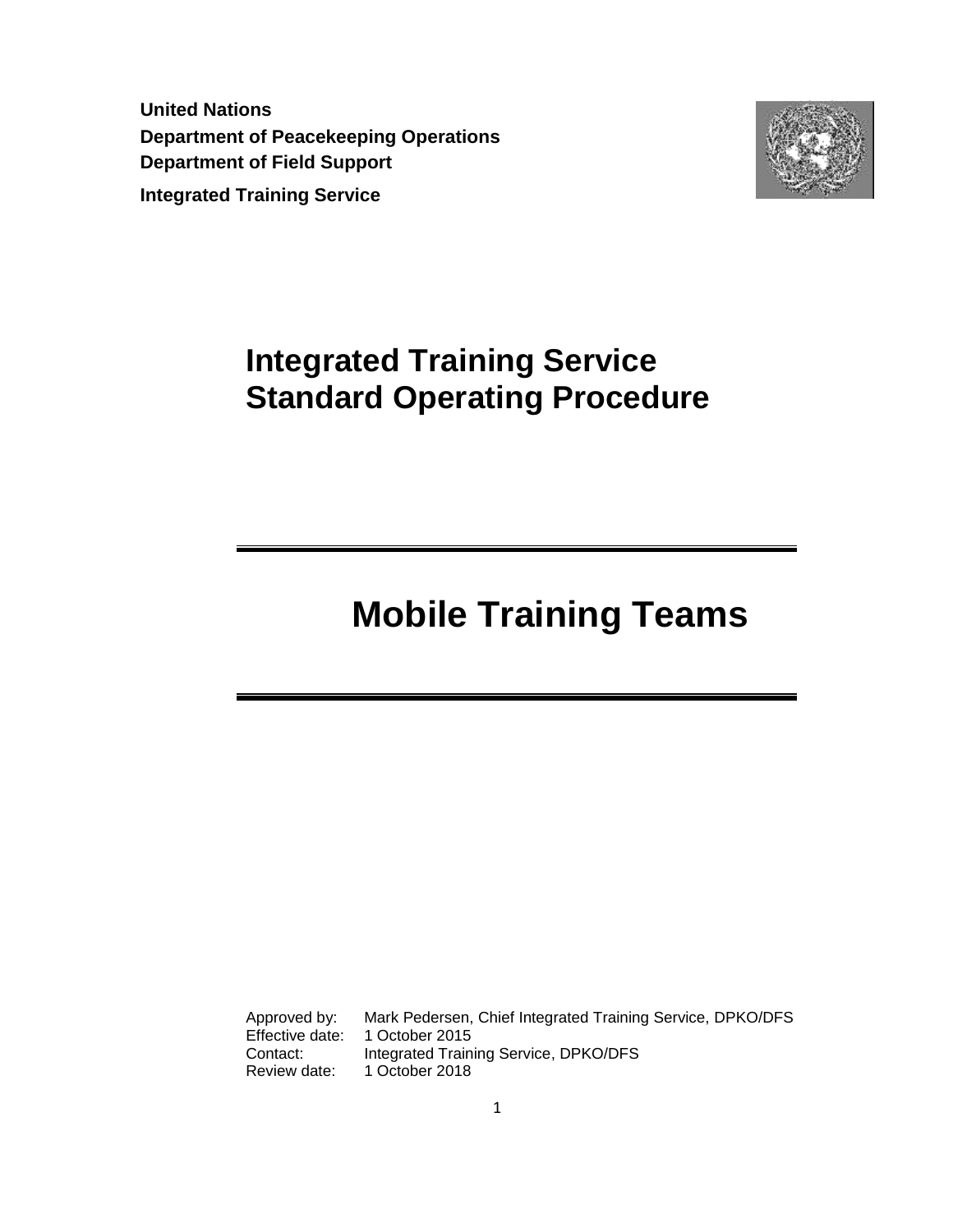**United Nations Department of Peacekeeping Operations Department of Field Support Integrated Training Service** 



# **Integrated Training Service Standard Operating Procedure**

# **Mobile Training Teams**

Approved by: Mark Pedersen, Chief Integrated Training Service, DPKO/DFS Effective date: 1 October 2015 Contact: Integrated Training Service, DPKO/DFS Review date: 1 October 2018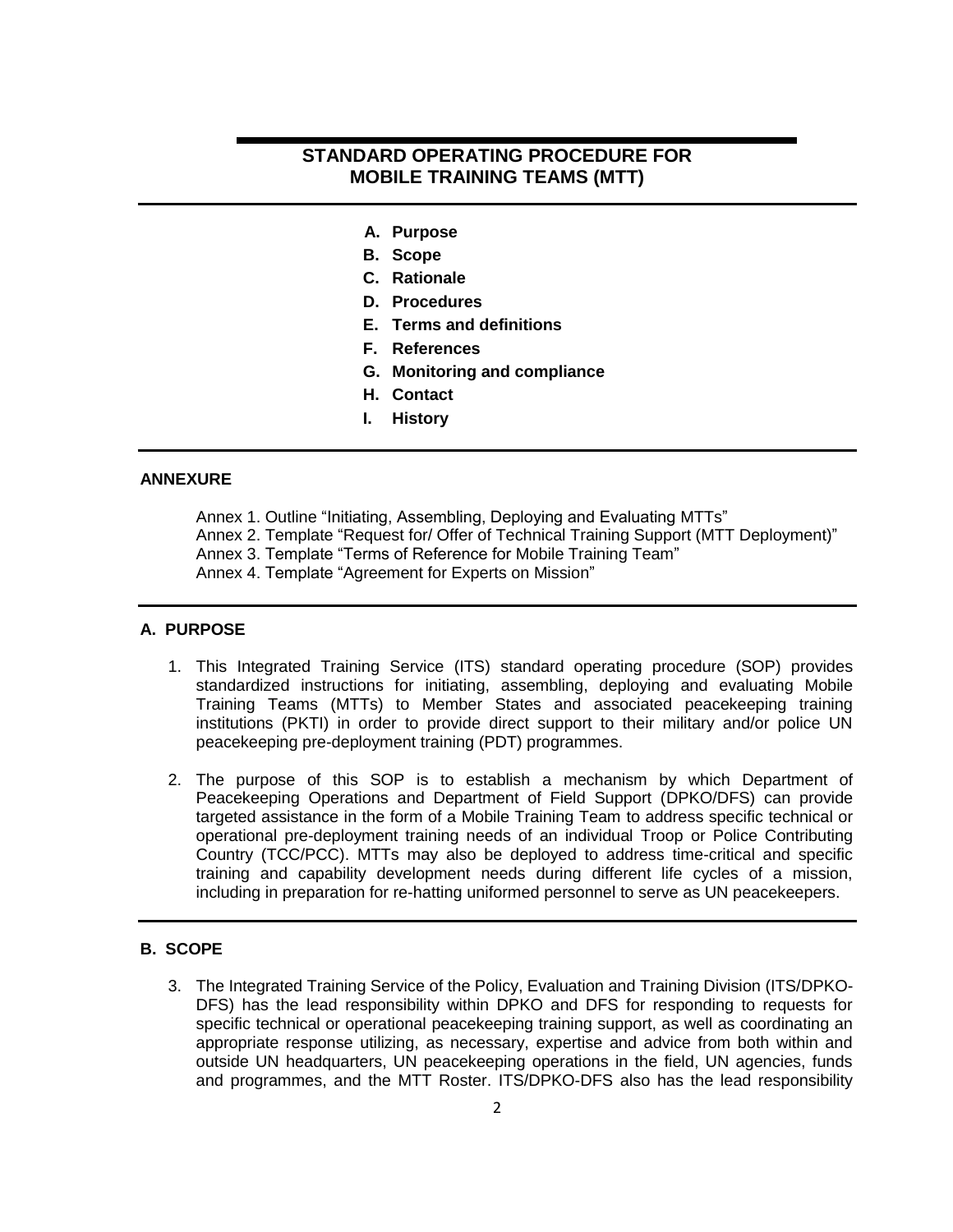# **STANDARD OPERATING PROCEDURE FOR MOBILE TRAINING TEAMS (MTT)**

- **A. Purpose**
- **B. Scope**
- **C. Rationale**
- **D. Procedures**
- **E. Terms and definitions**
- **F. References**
- **G. Monitoring and compliance**
- **H. Contact**
- **I. History**

# **ANNEXURE**

Annex 1. Outline "Initiating, Assembling, Deploying and Evaluating MTTs" Annex 2. Template "Request for/ Offer of Technical Training Support (MTT Deployment)" Annex 3. Template "Terms of Reference for Mobile Training Team" Annex 4. Template "Agreement for Experts on Mission"

#### **A. PURPOSE**

- 1. This Integrated Training Service (ITS) standard operating procedure (SOP) provides standardized instructions for initiating, assembling, deploying and evaluating Mobile Training Teams (MTTs) to Member States and associated peacekeeping training institutions (PKTI) in order to provide direct support to their military and/or police UN peacekeeping pre-deployment training (PDT) programmes.
- 2. The purpose of this SOP is to establish a mechanism by which Department of Peacekeeping Operations and Department of Field Support (DPKO/DFS) can provide targeted assistance in the form of a Mobile Training Team to address specific technical or operational pre-deployment training needs of an individual Troop or Police Contributing Country (TCC/PCC). MTTs may also be deployed to address time-critical and specific training and capability development needs during different life cycles of a mission, including in preparation for re-hatting uniformed personnel to serve as UN peacekeepers.

# **B. SCOPE**

3. The Integrated Training Service of the Policy, Evaluation and Training Division (ITS/DPKO-DFS) has the lead responsibility within DPKO and DFS for responding to requests for specific technical or operational peacekeeping training support, as well as coordinating an appropriate response utilizing, as necessary, expertise and advice from both within and outside UN headquarters, UN peacekeeping operations in the field, UN agencies, funds and programmes, and the MTT Roster. ITS/DPKO-DFS also has the lead responsibility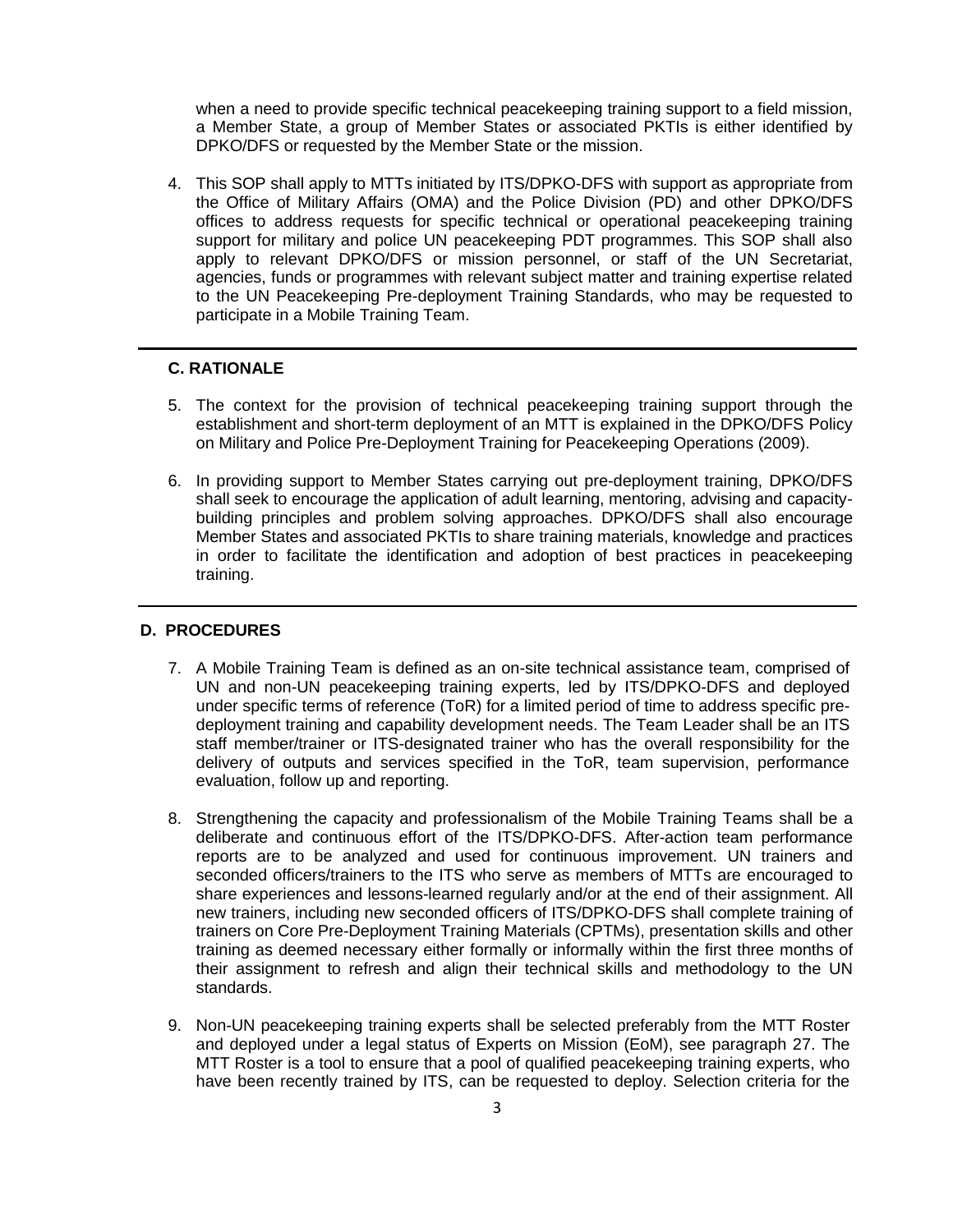when a need to provide specific technical peacekeeping training support to a field mission, a Member State, a group of Member States or associated PKTIs is either identified by DPKO/DFS or requested by the Member State or the mission.

4. This SOP shall apply to MTTs initiated by ITS/DPKO-DFS with support as appropriate from the Office of Military Affairs (OMA) and the Police Division (PD) and other DPKO/DFS offices to address requests for specific technical or operational peacekeeping training support for military and police UN peacekeeping PDT programmes. This SOP shall also apply to relevant DPKO/DFS or mission personnel, or staff of the UN Secretariat, agencies, funds or programmes with relevant subject matter and training expertise related to the UN Peacekeeping Pre-deployment Training Standards, who may be requested to participate in a Mobile Training Team.

# **C. RATIONALE**

- 5. The context for the provision of technical peacekeeping training support through the establishment and short-term deployment of an MTT is explained in the DPKO/DFS Policy on Military and Police Pre-Deployment Training for Peacekeeping Operations (2009).
- 6. In providing support to Member States carrying out pre-deployment training, DPKO/DFS shall seek to encourage the application of adult learning, mentoring, advising and capacitybuilding principles and problem solving approaches. DPKO/DFS shall also encourage Member States and associated PKTIs to share training materials, knowledge and practices in order to facilitate the identification and adoption of best practices in peacekeeping training.

#### **D. PROCEDURES**

- 7. A Mobile Training Team is defined as an on-site technical assistance team, comprised of UN and non-UN peacekeeping training experts, led by ITS/DPKO-DFS and deployed under specific terms of reference (ToR) for a limited period of time to address specific predeployment training and capability development needs. The Team Leader shall be an ITS staff member/trainer or ITS-designated trainer who has the overall responsibility for the delivery of outputs and services specified in the ToR, team supervision, performance evaluation, follow up and reporting.
- 8. Strengthening the capacity and professionalism of the Mobile Training Teams shall be a deliberate and continuous effort of the ITS/DPKO-DFS. After-action team performance reports are to be analyzed and used for continuous improvement. UN trainers and seconded officers/trainers to the ITS who serve as members of MTTs are encouraged to share experiences and lessons-learned regularly and/or at the end of their assignment. All new trainers, including new seconded officers of ITS/DPKO-DFS shall complete training of trainers on Core Pre-Deployment Training Materials (CPTMs), presentation skills and other training as deemed necessary either formally or informally within the first three months of their assignment to refresh and align their technical skills and methodology to the UN standards.
- 9. Non-UN peacekeeping training experts shall be selected preferably from the MTT Roster and deployed under a legal status of Experts on Mission (EoM), see paragraph 27. The MTT Roster is a tool to ensure that a pool of qualified peacekeeping training experts, who have been recently trained by ITS, can be requested to deploy. Selection criteria for the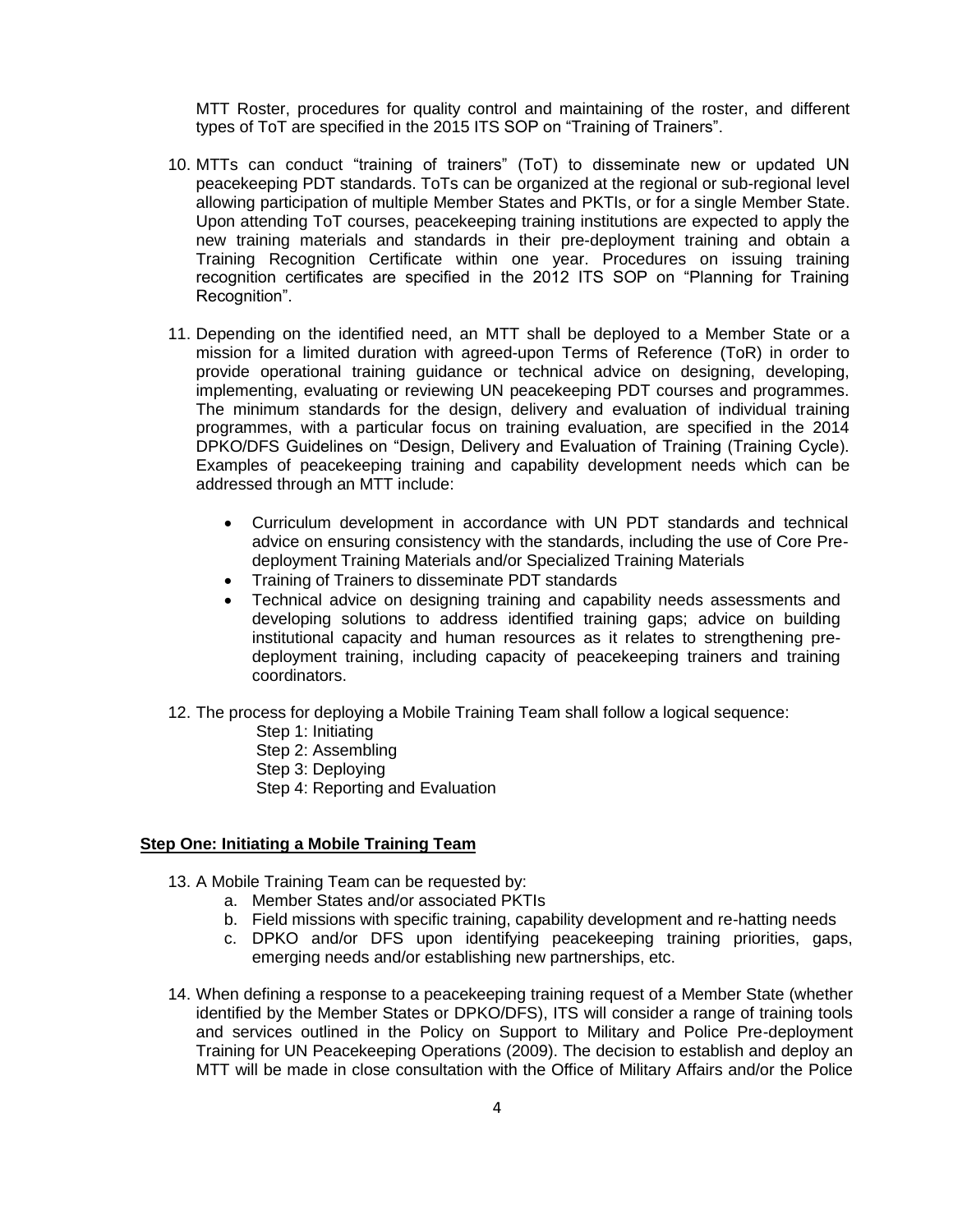MTT Roster, procedures for quality control and maintaining of the roster, and different types of ToT are specified in the 2015 ITS SOP on "Training of Trainers".

- 10. MTTs can conduct "training of trainers" (ToT) to disseminate new or updated UN peacekeeping PDT standards. ToTs can be organized at the regional or sub-regional level allowing participation of multiple Member States and PKTIs, or for a single Member State. Upon attending ToT courses, peacekeeping training institutions are expected to apply the new training materials and standards in their pre-deployment training and obtain a Training Recognition Certificate within one year. Procedures on issuing training recognition certificates are specified in the 2012 ITS SOP on "Planning for Training Recognition".
- 11. Depending on the identified need, an MTT shall be deployed to a Member State or a mission for a limited duration with agreed-upon Terms of Reference (ToR) in order to provide operational training guidance or technical advice on designing, developing, implementing, evaluating or reviewing UN peacekeeping PDT courses and programmes. The minimum standards for the design, delivery and evaluation of individual training programmes, with a particular focus on training evaluation, are specified in the 2014 DPKO/DFS Guidelines on "Design, Delivery and Evaluation of Training (Training Cycle). Examples of peacekeeping training and capability development needs which can be addressed through an MTT include:
	- Curriculum development in accordance with UN PDT standards and technical advice on ensuring consistency with the standards, including the use of Core Predeployment Training Materials and/or Specialized Training Materials
	- Training of Trainers to disseminate PDT standards
	- Technical advice on designing training and capability needs assessments and developing solutions to address identified training gaps; advice on building institutional capacity and human resources as it relates to strengthening predeployment training, including capacity of peacekeeping trainers and training coordinators.
- 12. The process for deploying a Mobile Training Team shall follow a logical sequence:
	- Step 1: Initiating
	- Step 2: Assembling
	- Step 3: Deploying
	- Step 4: Reporting and Evaluation

#### **Step One: Initiating a Mobile Training Team**

- 13. A Mobile Training Team can be requested by:
	- a. Member States and/or associated PKTIs
	- b. Field missions with specific training, capability development and re-hatting needs
	- c. DPKO and/or DFS upon identifying peacekeeping training priorities, gaps, emerging needs and/or establishing new partnerships, etc.
- 14. When defining a response to a peacekeeping training request of a Member State (whether identified by the Member States or DPKO/DFS), ITS will consider a range of training tools and services outlined in the Policy on Support to Military and Police Pre-deployment Training for UN Peacekeeping Operations (2009). The decision to establish and deploy an MTT will be made in close consultation with the Office of Military Affairs and/or the Police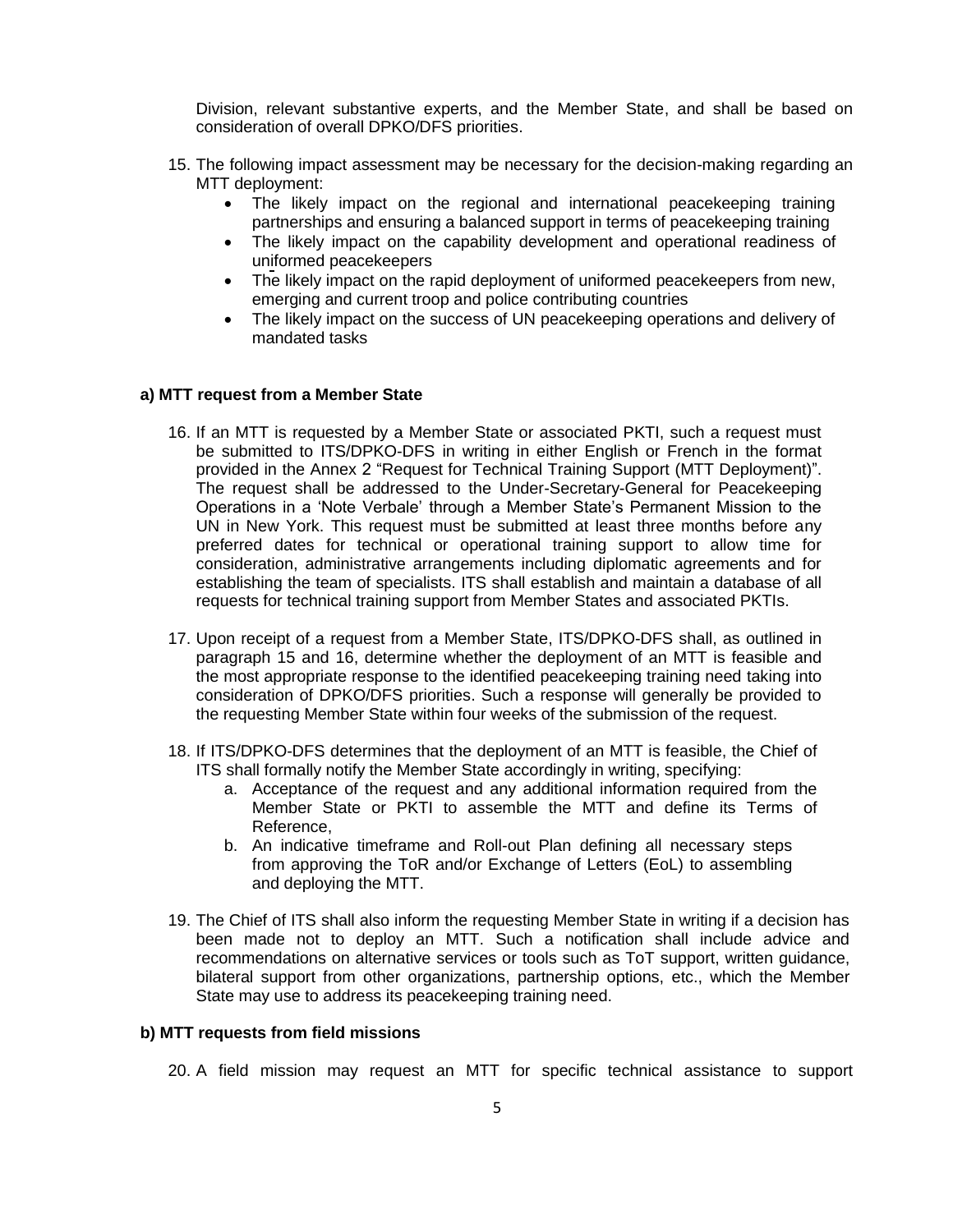Division, relevant substantive experts, and the Member State, and shall be based on consideration of overall DPKO/DFS priorities.

- 15. The following impact assessment may be necessary for the decision-making regarding an MTT deployment:
	- The likely impact on the regional and international peacekeeping training partnerships and ensuring a balanced support in terms of peacekeeping training
	- The likely impact on the capability development and operational readiness of uniformed peacekeepers
	- The likely impact on the rapid deployment of uniformed peacekeepers from new, emerging and current troop and police contributing countries
	- The likely impact on the success of UN peacekeeping operations and delivery of mandated tasks

#### **a) MTT request from a Member State**

- 16. If an MTT is requested by a Member State or associated PKTI, such a request must be submitted to ITS/DPKO-DFS in writing in either English or French in the format provided in the Annex 2 "Request for Technical Training Support (MTT Deployment)". The request shall be addressed to the Under-Secretary-General for Peacekeeping Operations in a 'Note Verbale' through a Member State's Permanent Mission to the UN in New York. This request must be submitted at least three months before any preferred dates for technical or operational training support to allow time for consideration, administrative arrangements including diplomatic agreements and for establishing the team of specialists. ITS shall establish and maintain a database of all requests for technical training support from Member States and associated PKTIs.
- 17. Upon receipt of a request from a Member State, ITS/DPKO-DFS shall, as outlined in paragraph 15 and 16, determine whether the deployment of an MTT is feasible and the most appropriate response to the identified peacekeeping training need taking into consideration of DPKO/DFS priorities. Such a response will generally be provided to the requesting Member State within four weeks of the submission of the request.
- 18. If ITS/DPKO-DFS determines that the deployment of an MTT is feasible, the Chief of ITS shall formally notify the Member State accordingly in writing, specifying:
	- a. Acceptance of the request and any additional information required from the Member State or PKTI to assemble the MTT and define its Terms of Reference,
	- b. An indicative timeframe and Roll-out Plan defining all necessary steps from approving the ToR and/or Exchange of Letters (EoL) to assembling and deploying the MTT.
- 19. The Chief of ITS shall also inform the requesting Member State in writing if a decision has been made not to deploy an MTT. Such a notification shall include advice and recommendations on alternative services or tools such as ToT support, written guidance, bilateral support from other organizations, partnership options, etc., which the Member State may use to address its peacekeeping training need.

#### **b) MTT requests from field missions**

20. A field mission may request an MTT for specific technical assistance to support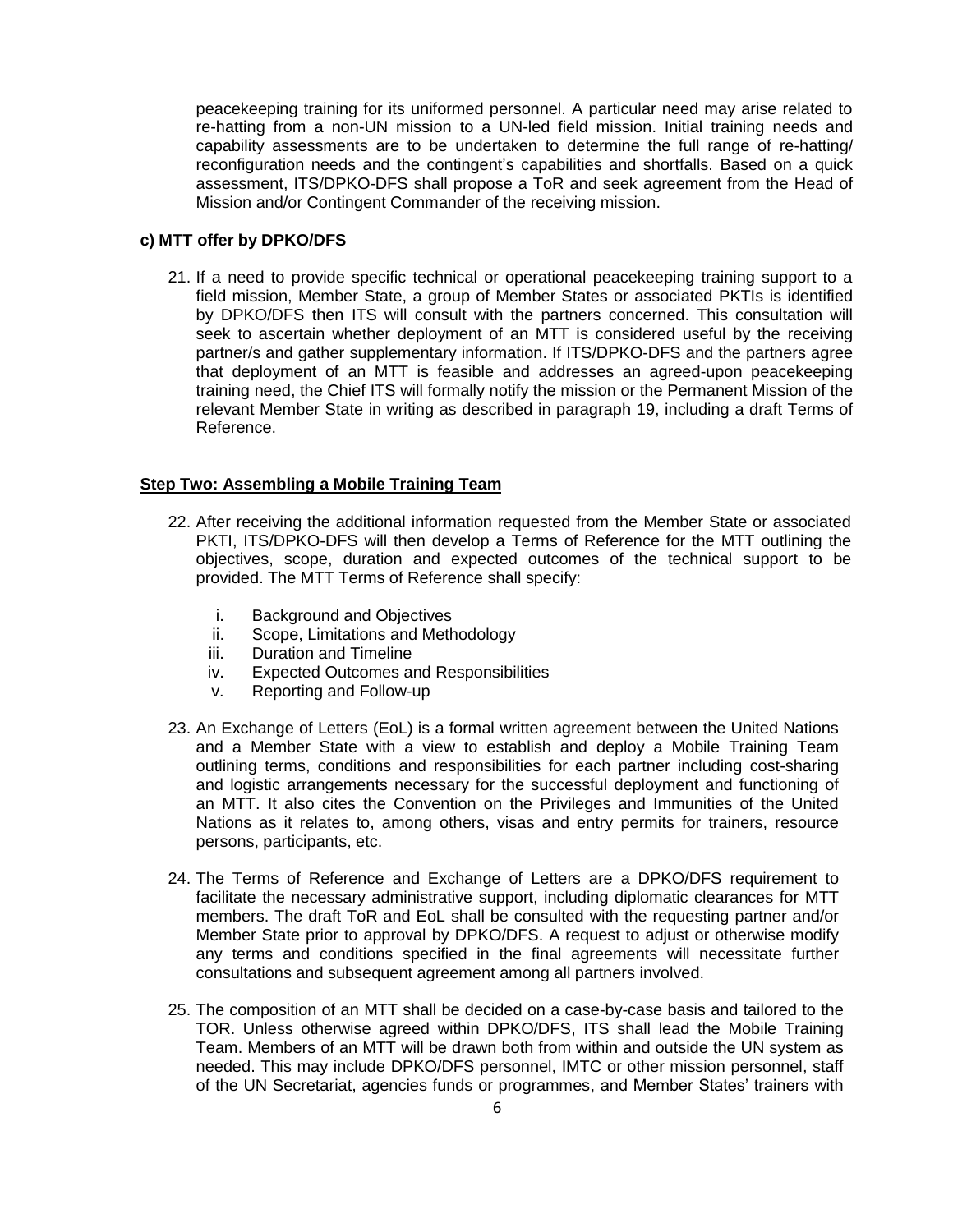peacekeeping training for its uniformed personnel. A particular need may arise related to re-hatting from a non-UN mission to a UN-led field mission. Initial training needs and capability assessments are to be undertaken to determine the full range of re-hatting/ reconfiguration needs and the contingent's capabilities and shortfalls. Based on a quick assessment, ITS/DPKO-DFS shall propose a ToR and seek agreement from the Head of Mission and/or Contingent Commander of the receiving mission.

# **c) MTT offer by DPKO/DFS**

21. If a need to provide specific technical or operational peacekeeping training support to a field mission, Member State, a group of Member States or associated PKTIs is identified by DPKO/DFS then ITS will consult with the partners concerned. This consultation will seek to ascertain whether deployment of an MTT is considered useful by the receiving partner/s and gather supplementary information. If ITS/DPKO-DFS and the partners agree that deployment of an MTT is feasible and addresses an agreed-upon peacekeeping training need, the Chief ITS will formally notify the mission or the Permanent Mission of the relevant Member State in writing as described in paragraph 19, including a draft Terms of Reference.

#### **Step Two: Assembling a Mobile Training Team**

- 22. After receiving the additional information requested from the Member State or associated PKTI, ITS/DPKO-DFS will then develop a Terms of Reference for the MTT outlining the objectives, scope, duration and expected outcomes of the technical support to be provided. The MTT Terms of Reference shall specify:
	- i. Background and Objectives
	- ii. Scope, Limitations and Methodology
	- iii. Duration and Timeline
	- iv. Expected Outcomes and Responsibilities
	- v. Reporting and Follow-up
- 23. An Exchange of Letters (EoL) is a formal written agreement between the United Nations and a Member State with a view to establish and deploy a Mobile Training Team outlining terms, conditions and responsibilities for each partner including cost-sharing and logistic arrangements necessary for the successful deployment and functioning of an MTT. It also cites the Convention on the Privileges and Immunities of the United Nations as it relates to, among others, visas and entry permits for trainers, resource persons, participants, etc.
- 24. The Terms of Reference and Exchange of Letters are a DPKO/DFS requirement to facilitate the necessary administrative support, including diplomatic clearances for MTT members. The draft ToR and EoL shall be consulted with the requesting partner and/or Member State prior to approval by DPKO/DFS. A request to adjust or otherwise modify any terms and conditions specified in the final agreements will necessitate further consultations and subsequent agreement among all partners involved.
- 25. The composition of an MTT shall be decided on a case-by-case basis and tailored to the TOR. Unless otherwise agreed within DPKO/DFS, ITS shall lead the Mobile Training Team. Members of an MTT will be drawn both from within and outside the UN system as needed. This may include DPKO/DFS personnel, IMTC or other mission personnel, staff of the UN Secretariat, agencies funds or programmes, and Member States' trainers with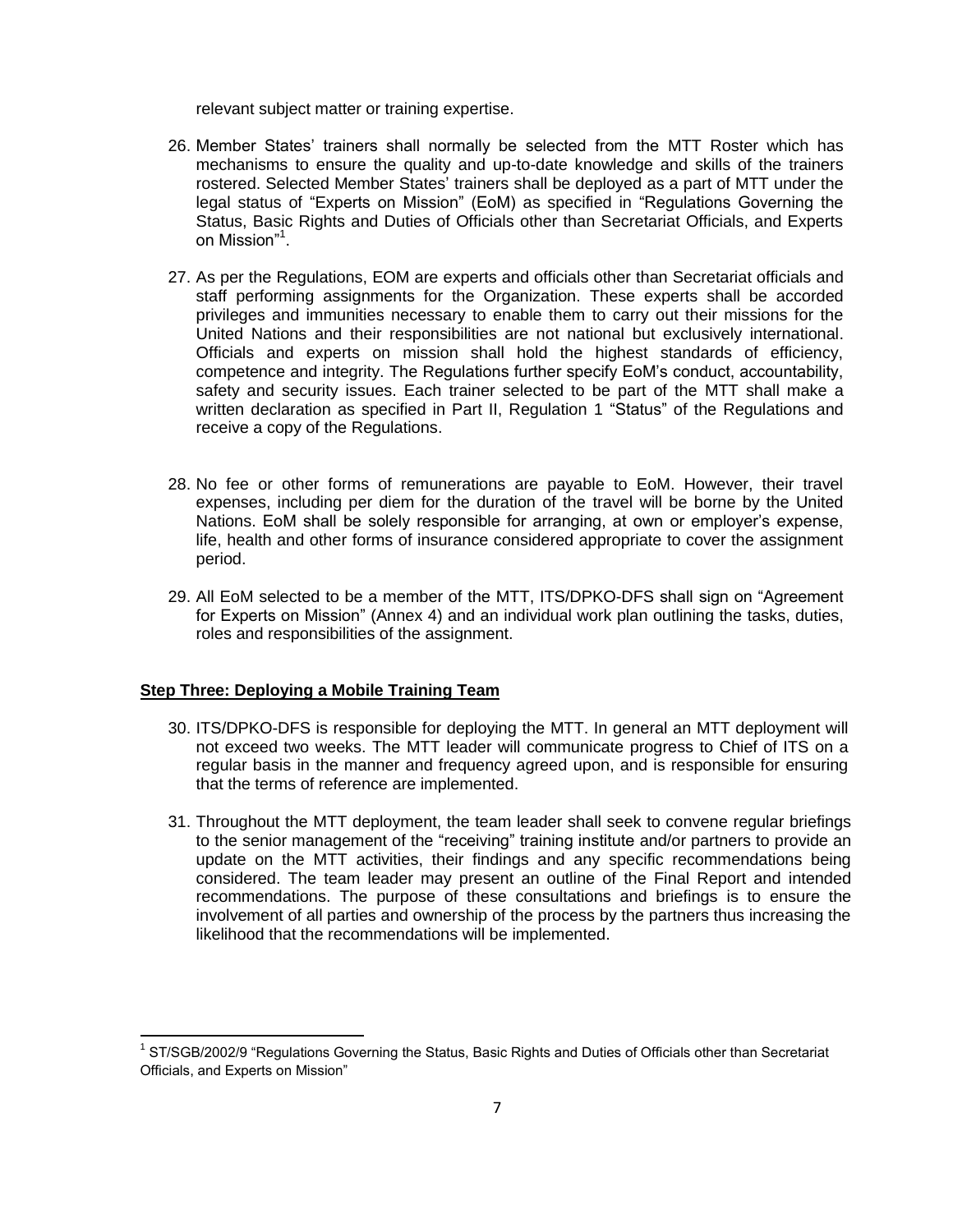relevant subject matter or training expertise.

- 26. Member States' trainers shall normally be selected from the MTT Roster which has mechanisms to ensure the quality and up-to-date knowledge and skills of the trainers rostered. Selected Member States' trainers shall be deployed as a part of MTT under the legal status of "Experts on Mission" (EoM) as specified in "Regulations Governing the Status, Basic Rights and Duties of Officials other than Secretariat Officials, and Experts on Mission"<sup>1</sup>.
- 27. As per the Regulations, EOM are experts and officials other than Secretariat officials and staff performing assignments for the Organization. These experts shall be accorded privileges and immunities necessary to enable them to carry out their missions for the United Nations and their responsibilities are not national but exclusively international. Officials and experts on mission shall hold the highest standards of efficiency, competence and integrity. The Regulations further specify EoM's conduct, accountability, safety and security issues. Each trainer selected to be part of the MTT shall make a written declaration as specified in Part II, Regulation 1 "Status" of the Regulations and receive a copy of the Regulations.
- 28. No fee or other forms of remunerations are payable to EoM. However, their travel expenses, including per diem for the duration of the travel will be borne by the United Nations. EoM shall be solely responsible for arranging, at own or employer's expense, life, health and other forms of insurance considered appropriate to cover the assignment period.
- 29. All EoM selected to be a member of the MTT, ITS/DPKO-DFS shall sign on "Agreement for Experts on Mission" (Annex 4) and an individual work plan outlining the tasks, duties, roles and responsibilities of the assignment.

#### **Step Three: Deploying a Mobile Training Team**

l

- 30. ITS/DPKO-DFS is responsible for deploying the MTT. In general an MTT deployment will not exceed two weeks. The MTT leader will communicate progress to Chief of ITS on a regular basis in the manner and frequency agreed upon, and is responsible for ensuring that the terms of reference are implemented.
- 31. Throughout the MTT deployment, the team leader shall seek to convene regular briefings to the senior management of the "receiving" training institute and/or partners to provide an update on the MTT activities, their findings and any specific recommendations being considered. The team leader may present an outline of the Final Report and intended recommendations. The purpose of these consultations and briefings is to ensure the involvement of all parties and ownership of the process by the partners thus increasing the likelihood that the recommendations will be implemented.

<sup>&</sup>lt;sup>1</sup> ST/SGB/2002/9 "Regulations Governing the Status, Basic Rights and Duties of Officials other than Secretariat Officials, and Experts on Mission"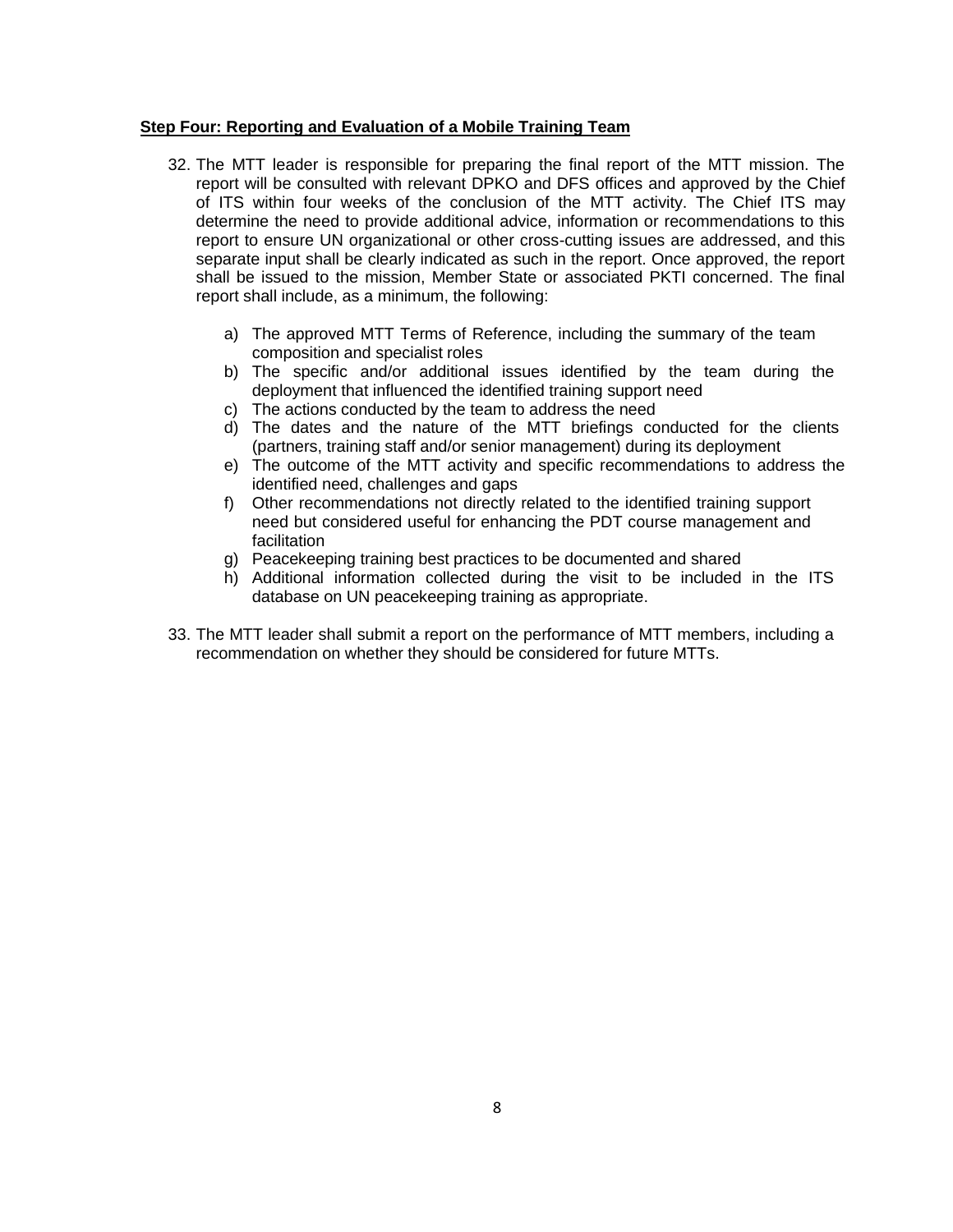#### **Step Four: Reporting and Evaluation of a Mobile Training Team**

- 32. The MTT leader is responsible for preparing the final report of the MTT mission. The report will be consulted with relevant DPKO and DFS offices and approved by the Chief of ITS within four weeks of the conclusion of the MTT activity. The Chief ITS may determine the need to provide additional advice, information or recommendations to this report to ensure UN organizational or other cross-cutting issues are addressed, and this separate input shall be clearly indicated as such in the report. Once approved, the report shall be issued to the mission, Member State or associated PKTI concerned. The final report shall include, as a minimum, the following:
	- a) The approved MTT Terms of Reference, including the summary of the team composition and specialist roles
	- b) The specific and/or additional issues identified by the team during the deployment that influenced the identified training support need
	- c) The actions conducted by the team to address the need
	- d) The dates and the nature of the MTT briefings conducted for the clients (partners, training staff and/or senior management) during its deployment
	- e) The outcome of the MTT activity and specific recommendations to address the identified need, challenges and gaps
	- f) Other recommendations not directly related to the identified training support need but considered useful for enhancing the PDT course management and facilitation
	- g) Peacekeeping training best practices to be documented and shared
	- h) Additional information collected during the visit to be included in the ITS database on UN peacekeeping training as appropriate.
- 33. The MTT leader shall submit a report on the performance of MTT members, including a recommendation on whether they should be considered for future MTTs.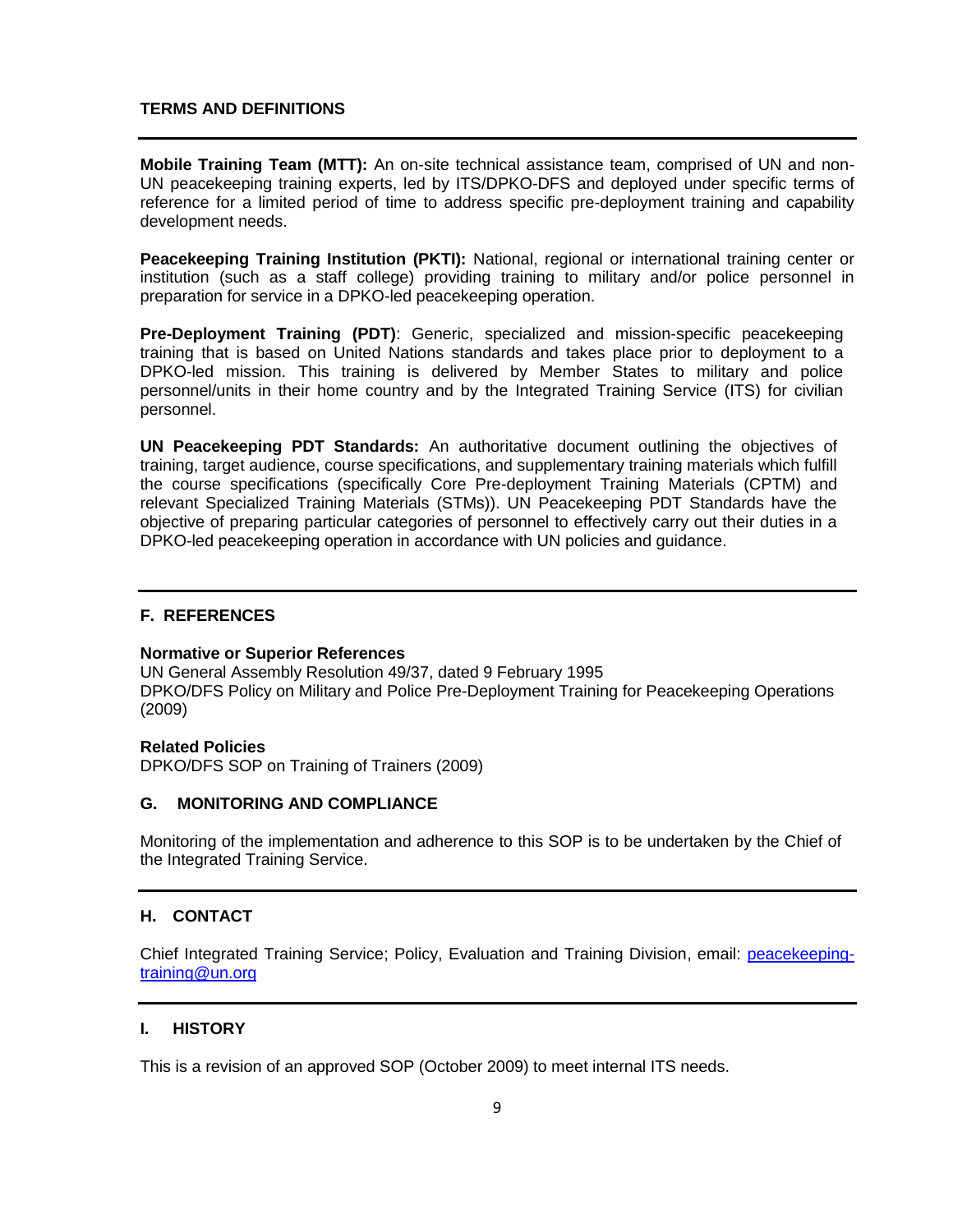#### **TERMS AND DEFINITIONS**

**Mobile Training Team (MTT):** An on-site technical assistance team, comprised of UN and non-UN peacekeeping training experts, led by ITS/DPKO-DFS and deployed under specific terms of reference for a limited period of time to address specific pre-deployment training and capability development needs.

**Peacekeeping Training Institution (PKTI):** National, regional or international training center or institution (such as a staff college) providing training to military and/or police personnel in preparation for service in a DPKO-led peacekeeping operation.

**Pre-Deployment Training (PDT)**: Generic, specialized and mission-specific peacekeeping training that is based on United Nations standards and takes place prior to deployment to a DPKO-led mission. This training is delivered by Member States to military and police personnel/units in their home country and by the Integrated Training Service (ITS) for civilian personnel.

**UN Peacekeeping PDT Standards:** An authoritative document outlining the objectives of training, target audience, course specifications, and supplementary training materials which fulfill the course specifications (specifically Core Pre-deployment Training Materials (CPTM) and relevant Specialized Training Materials (STMs)). UN Peacekeeping PDT Standards have the objective of preparing particular categories of personnel to effectively carry out their duties in a DPKO-led peacekeeping operation in accordance with UN policies and guidance.

#### **F. REFERENCES**

#### **Normative or Superior References**

UN General Assembly Resolution 49/37, dated 9 February 1995 DPKO/DFS Policy on Military and Police Pre-Deployment Training for Peacekeeping Operations (2009)

#### **Related Policies**

DPKO/DFS SOP on Training of Trainers (2009)

#### **G. MONITORING AND COMPLIANCE**

Monitoring of the implementation and adherence to this SOP is to be undertaken by the Chief of the Integrated Training Service.

#### **H. CONTACT**

Chief Integrated Training Service; Policy, Evaluation and Training Division, email: peacekeepingtraining@un.org

#### **I. HISTORY**

This is a revision of an approved SOP (October 2009) to meet internal ITS needs.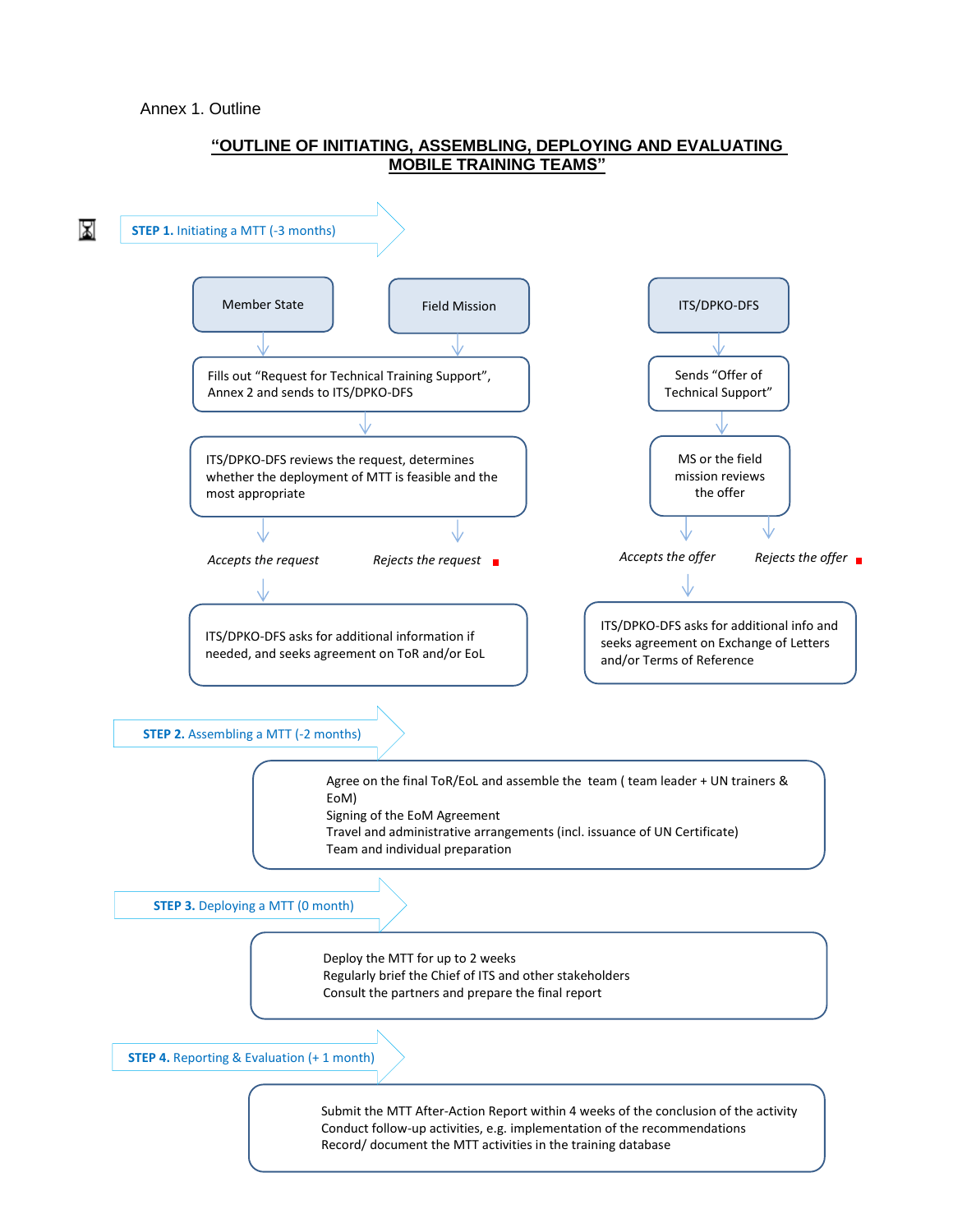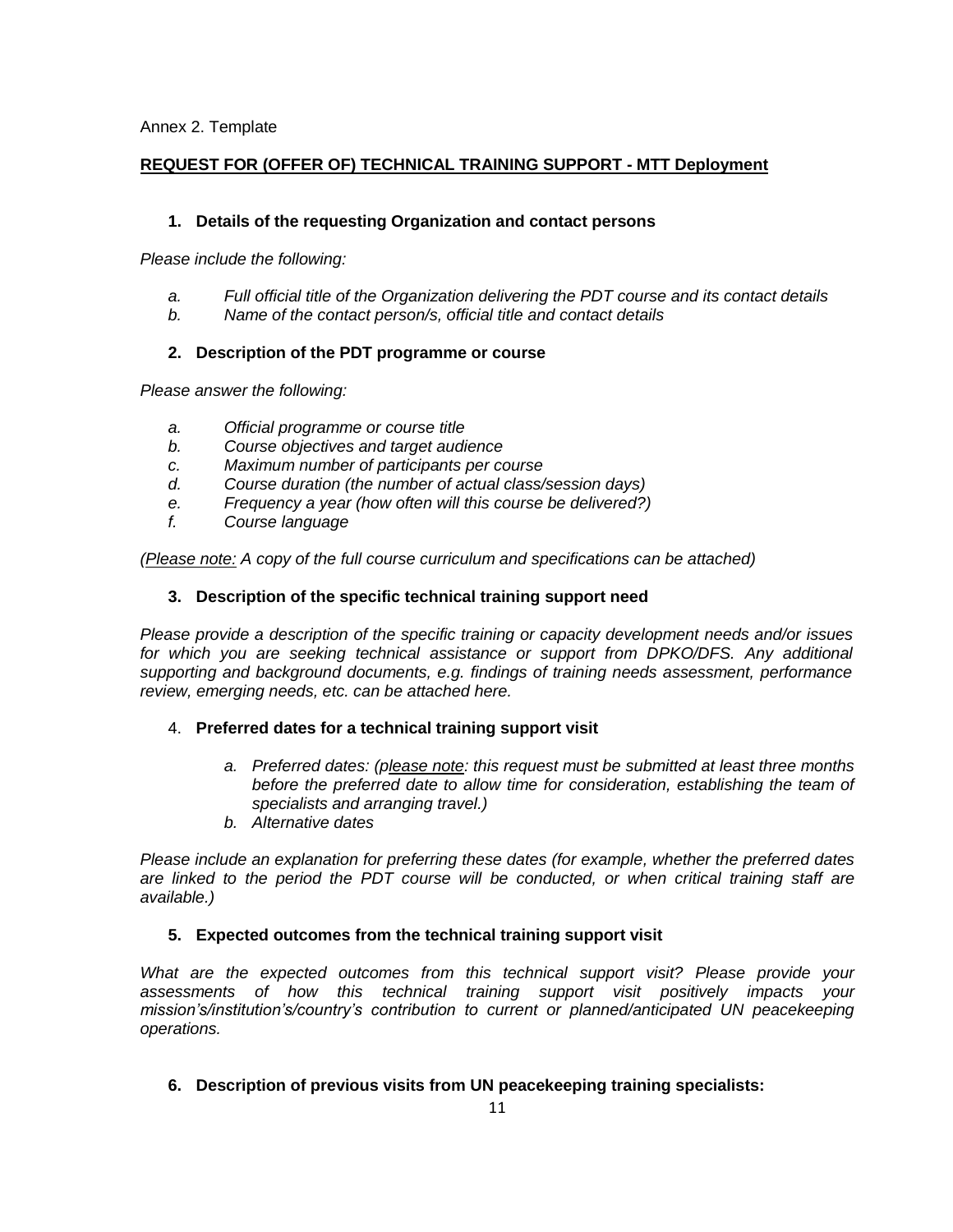# **REQUEST FOR (OFFER OF) TECHNICAL TRAINING SUPPORT - MTT Deployment**

## **1. Details of the requesting Organization and contact persons**

*Please include the following:*

- *a. Full official title of the Organization delivering the PDT course and its contact details*
- *b. Name of the contact person/s, official title and contact details*

# **2. Description of the PDT programme or course**

*Please answer the following:*

- *a. Official programme or course title*
- *b. Course objectives and target audience*
- *c. Maximum number of participants per course*
- *d. Course duration (the number of actual class/session days)*
- *e. Frequency a year (how often will this course be delivered?)*
- *f. Course language*

*(Please note: A copy of the full course curriculum and specifications can be attached)*

# **3. Description of the specific technical training support need**

*Please provide a description of the specific training or capacity development needs and/or issues* for which you are seeking technical assistance or support from DPKO/DFS. Any additional *supporting and background documents, e.g. findings of training needs assessment, performance review, emerging needs, etc. can be attached here.* 

#### 4. **Preferred dates for a technical training support visit**

- *a. Preferred dates: (please note: this request must be submitted at least three months before the preferred date to allow time for consideration, establishing the team of specialists and arranging travel.)*
- *b. Alternative dates*

*Please include an explanation for preferring these dates (for example, whether the preferred dates are linked to the period the PDT course will be conducted, or when critical training staff are available.)*

# **5. Expected outcomes from the technical training support visit**

*What are the expected outcomes from this technical support visit? Please provide your assessments of how this technical training support visit positively impacts your mission's/institution's/country's contribution to current or planned/anticipated UN peacekeeping operations.* 

**6. Description of previous visits from UN peacekeeping training specialists:**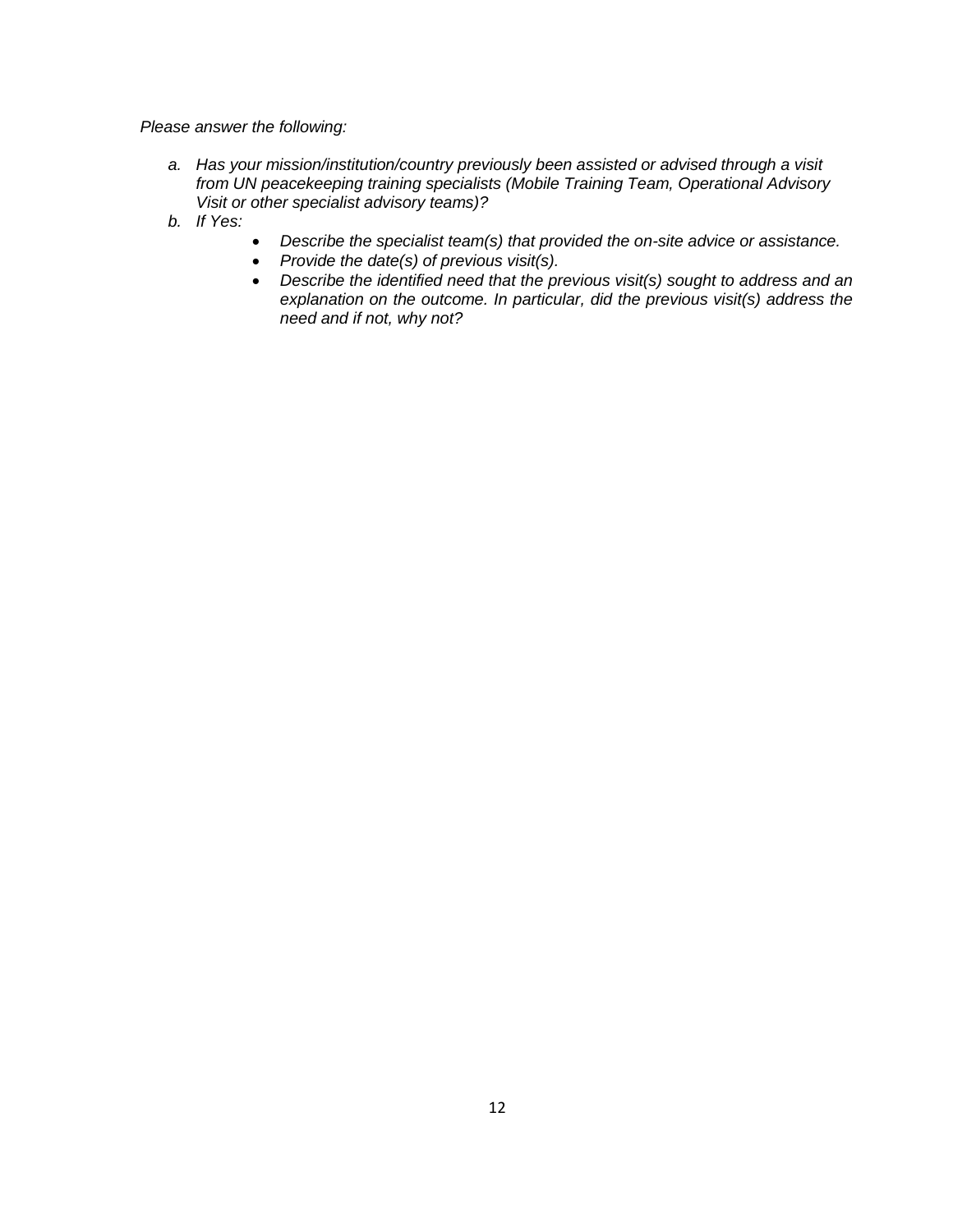*Please answer the following:*

- *a. Has your mission/institution/country previously been assisted or advised through a visit from UN peacekeeping training specialists (Mobile Training Team, Operational Advisory Visit or other specialist advisory teams)?*
- *b. If Yes:*
- *Describe the specialist team(s) that provided the on-site advice or assistance.*
- *Provide the date(s) of previous visit(s).*
- *Describe the identified need that the previous visit(s) sought to address and an explanation on the outcome. In particular, did the previous visit(s) address the need and if not, why not?*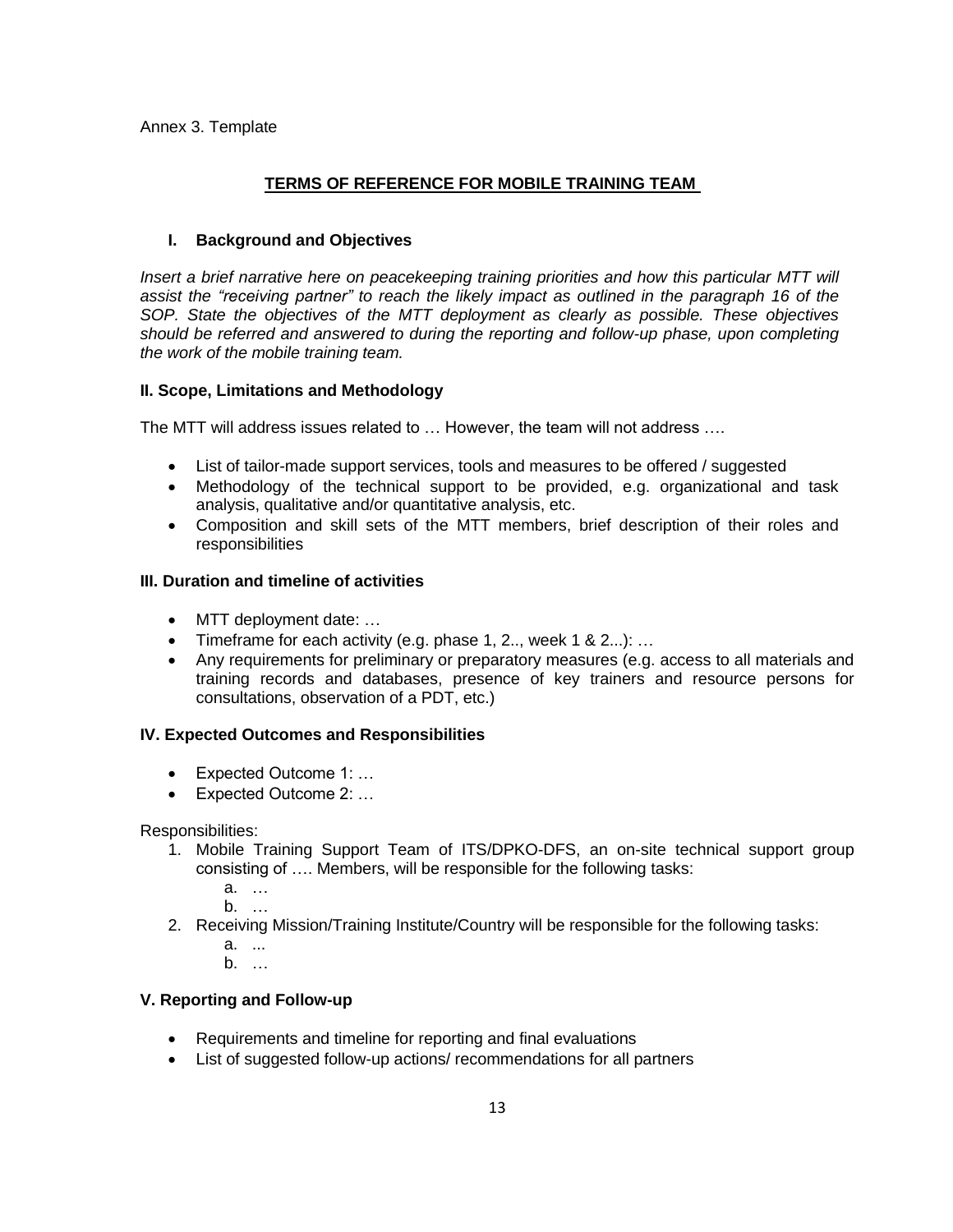Annex 3. Template

# **TERMS OF REFERENCE FOR MOBILE TRAINING TEAM**

# **I. Background and Objectives**

*Insert a brief narrative here on peacekeeping training priorities and how this particular MTT will assist the "receiving partner" to reach the likely impact as outlined in the paragraph 16 of the SOP. State the objectives of the MTT deployment as clearly as possible. These objectives should be referred and answered to during the reporting and follow-up phase, upon completing the work of the mobile training team.* 

# **II. Scope, Limitations and Methodology**

The MTT will address issues related to … However, the team will not address ….

- List of tailor-made support services, tools and measures to be offered / suggested
- Methodology of the technical support to be provided, e.g. organizational and task analysis, qualitative and/or quantitative analysis, etc.
- Composition and skill sets of the MTT members, brief description of their roles and responsibilities

# **III. Duration and timeline of activities**

- MTT deployment date: …
- Timeframe for each activity (e.g. phase 1, 2.., week 1 & 2...): …
- Any requirements for preliminary or preparatory measures (e.g. access to all materials and training records and databases, presence of key trainers and resource persons for consultations, observation of a PDT, etc.)

#### **IV. Expected Outcomes and Responsibilities**

- Expected Outcome 1: ...
- Expected Outcome 2: …

#### Responsibilities:

- 1. Mobile Training Support Team of ITS/DPKO-DFS, an on-site technical support group consisting of …. Members, will be responsible for the following tasks:
	- a. …
	- b. …
- 2. Receiving Mission/Training Institute/Country will be responsible for the following tasks:
	- a. ...
	- b. …

# **V. Reporting and Follow-up**

- Requirements and timeline for reporting and final evaluations
- List of suggested follow-up actions/ recommendations for all partners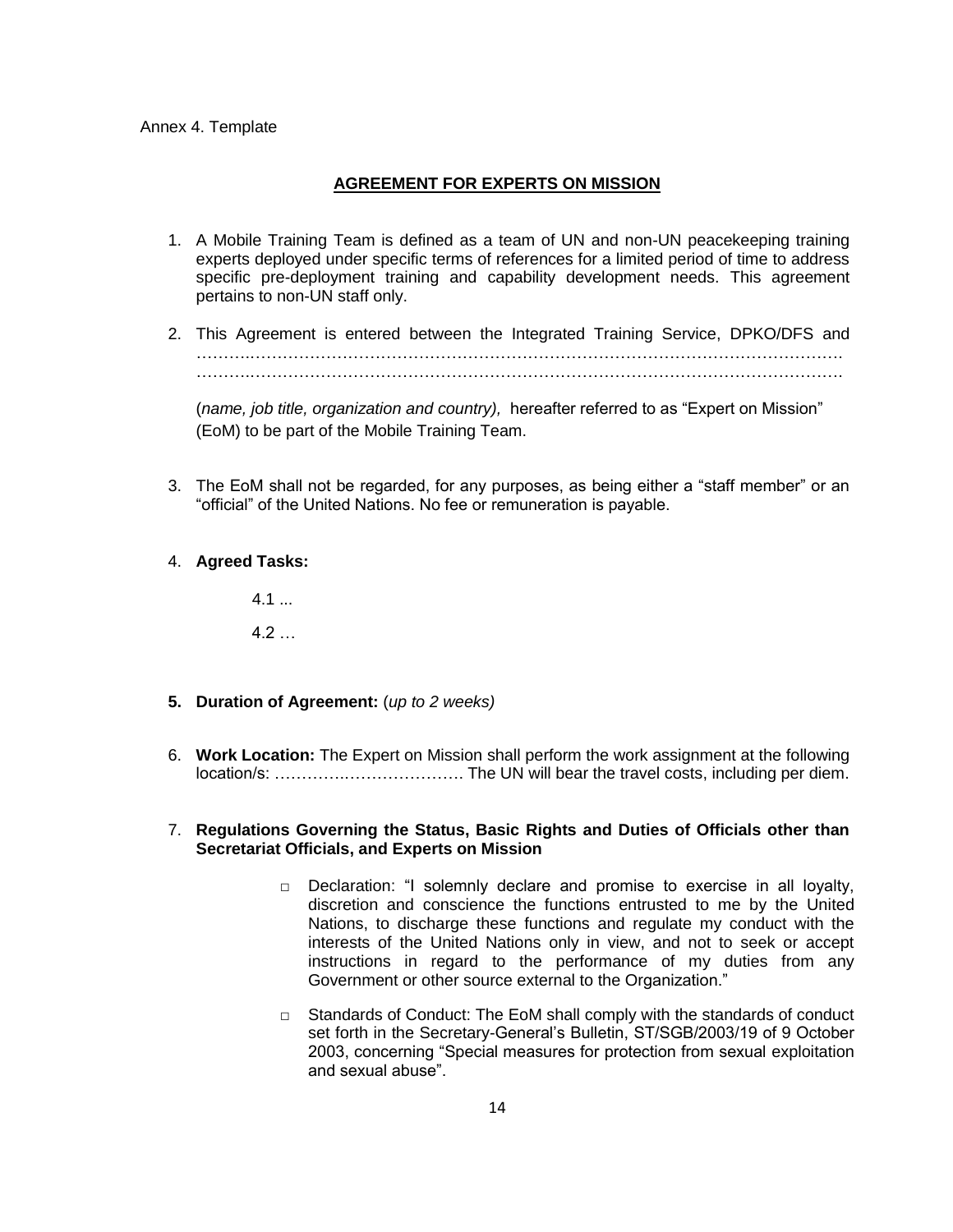#### **AGREEMENT FOR EXPERTS ON MISSION**

- 1. A Mobile Training Team is defined as a team of UN and non-UN peacekeeping training experts deployed under specific terms of references for a limited period of time to address specific pre-deployment training and capability development needs. This agreement pertains to non-UN staff only.
- 2. This Agreement is entered between the Integrated Training Service, DPKO/DFS and ……….………………………………………………………………………………………………. . The contract of the contract of the contract of the contract of the contract of the contract of the contract of the contract of the contract of the contract of the contract of the contract of the contract of the contrac

(*name, job title, organization and country),* hereafter referred to as "Expert on Mission" (EoM) to be part of the Mobile Training Team.

- 3. The EoM shall not be regarded, for any purposes, as being either a "staff member" or an "official" of the United Nations. No fee or remuneration is payable.
- 4. **Agreed Tasks:**

 $4.1...$  $4.2...$ 

- **5. Duration of Agreement:** (*up to 2 weeks)*
- 6. **Work Location:** The Expert on Mission shall perform the work assignment at the following location/s: ………….…………………. The UN will bear the travel costs, including per diem.

# 7. **Regulations Governing the Status, Basic Rights and Duties of Officials other than Secretariat Officials, and Experts on Mission**

- $\Box$  Declaration: "I solemnly declare and promise to exercise in all loyalty, discretion and conscience the functions entrusted to me by the United Nations, to discharge these functions and regulate my conduct with the interests of the United Nations only in view, and not to seek or accept instructions in regard to the performance of my duties from any Government or other source external to the Organization."
- □ Standards of Conduct: The EoM shall comply with the standards of conduct set forth in the Secretary-General's Bulletin, ST/SGB/2003/19 of 9 October 2003, concerning "Special measures for protection from sexual exploitation and sexual abuse".